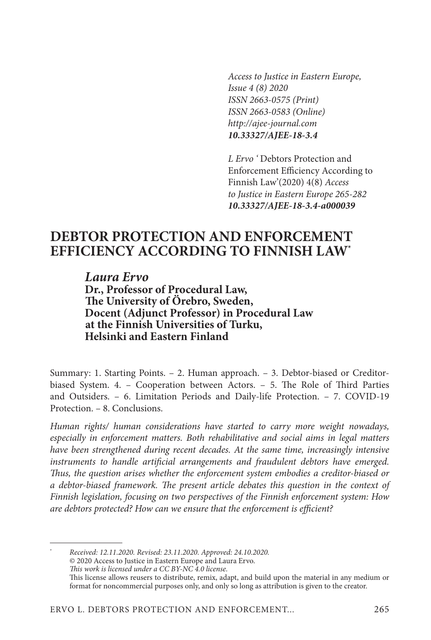*Access to Justice in Eastern Europe, Issue 4 (8) 2020 ISSN 2663-0575 (Print) ISSN 2663-0583 (Online) http://ajee-journal.com 10.33327/AJEE-18-3.4*

*L Ervo '* Debtors Protection and Enforcement Efficiency According to Finnish Law'(2020) 4(8) *Access to Justice in Eastern Europe 265-282 10.33327/AJEE-18-3.4-a000039*

# **DEBTOR PROTECTION AND ENFORCEMENT EFFICIENCY ACCORDING TO FINNISH LAW\***

*Laura Ervo* **Dr., Professor of Procedural Law, The University of Örebro, Sweden, Docent (Adjunct Professor) in Procedural Law at the Finnish Universities of Turku, Helsinki and Eastern Finland**

Summary: 1. Starting Points. – 2. Human approach. – 3. Debtor-biased or Creditorbiased System. 4. – Cooperation between Actors. – 5. The Role of Third Parties and Outsiders. – 6. Limitation Periods and Daily-life Protection. – 7. COVID-19 Protection. – 8. Conclusions.

*Human rights/ human considerations have started to carry more weight nowadays, especially in enforcement matters. Both rehabilitative and social aims in legal matters*  have been strengthened during recent decades. At the same time, increasingly intensive *instruments to handle artificial arrangements and fraudulent debtors have emerged. Thus, the question arises whether the enforcement system embodies a creditor-biased or a debtor-biased framework. The present article debates this question in the context of Finnish legislation, focusing on two perspectives of the Finnish enforcement system: How are debtors protected? How can we ensure that the enforcement is efficient?*

\* *Received: 12.11.2020. Revised: 23.11.2020. Approved: 24.10.2020.* © 2020 Access to Justice in Eastern Europe and Laura Ervo. *This work is licensed under a CC BY-NC 4.0 license.* This license allows reusers to distribute, remix, adapt, and build upon the material in any medium or format for noncommercial purposes only, and only so long as attribution is given to the creator.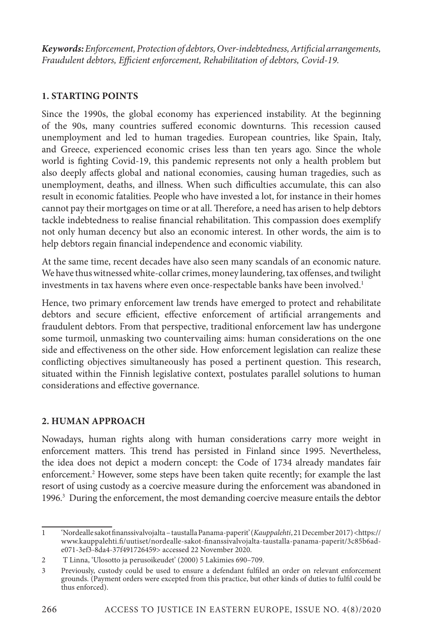*Keywords: Enforcement, Protection of debtors, Over-indebtedness, Artificial arrangements, Fraudulent debtors, Efficient enforcement, Rehabilitation of debtors, Covid-19.*

#### **1. STARTING POINTS**

Since the 1990s, the global economy has experienced instability. At the beginning of the 90s, many countries suffered economic downturns. This recession caused unemployment and led to human tragedies. European countries, like Spain, Italy, and Greece, experienced economic crises less than ten years ago. Since the whole world is fighting Covid-19, this pandemic represents not only a health problem but also deeply affects global and national economies, causing human tragedies, such as unemployment, deaths, and illness. When such difficulties accumulate, this can also result in economic fatalities. People who have invested a lot, for instance in their homes cannot pay their mortgages on time or at all. Therefore, a need has arisen to help debtors tackle indebtedness to realise financial rehabilitation. This compassion does exemplify not only human decency but also an economic interest. In other words, the aim is to help debtors regain financial independence and economic viability.

At the same time, recent decades have also seen many scandals of an economic nature. We have thus witnessed white-collar crimes, money laundering, tax offenses, and twilight investments in tax havens where even once-respectable banks have been involved.<sup>1</sup>

Hence, two primary enforcement law trends have emerged to protect and rehabilitate debtors and secure efficient, effective enforcement of artificial arrangements and fraudulent debtors. From that perspective, traditional enforcement law has undergone some turmoil, unmasking two countervailing aims: human considerations on the one side and effectiveness on the other side. How enforcement legislation can realize these conflicting objectives simultaneously has posed a pertinent question. This research, situated within the Finnish legislative context, postulates parallel solutions to human considerations and effective governance.

## **2. HUMAN APPROACH**

Nowadays, human rights along with human considerations carry more weight in enforcement matters. This trend has persisted in Finland since 1995. Nevertheless, the idea does not depict a modern concept: the Code of 1734 already mandates fair enforcement.<sup>2</sup> However, some steps have been taken quite recently; for example the last resort of using custody as a coercive measure during the enforcement was abandoned in 1996.<sup>3</sup> During the enforcement, the most demanding coercive measure entails the debtor

<sup>1</sup> 'Nordealle sakot finanssivalvojalta – taustalla Panama-paperit' (*Kauppalehti*, 21 December 2017) <https:// www.kauppalehti.fi/uutiset/nordealle-sakot-finanssivalvojalta-taustalla-panama-paperit/3c85b6ade071-3ef3-8da4-37f491726459> accessed 22 November 2020.

<sup>2</sup> T Linna, 'Ulosotto ja perusoikeudet' (2000) 5 Lakimies 690–709.

<sup>3</sup> Previously, custody could be used to ensure a defendant fulfiled an order on relevant enforcement grounds. (Payment orders were excepted from this practice, but other kinds of duties to fulfil could be thus enforced).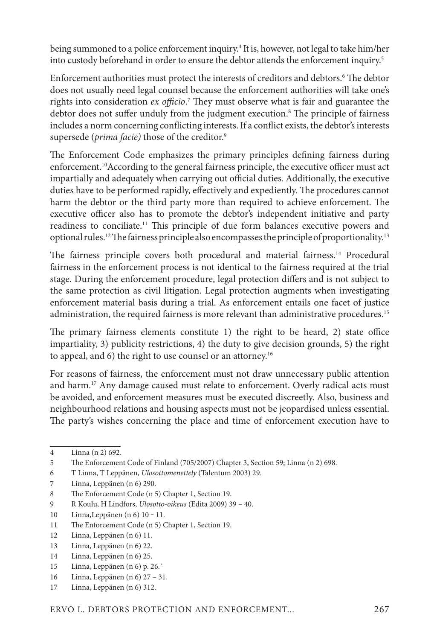being summoned to a police enforcement inquiry.<sup>4</sup> It is, however, not legal to take him/her into custody beforehand in order to ensure the debtor attends the enforcement inquiry.<sup>5</sup>

Enforcement authorities must protect the interests of creditors and debtors.<sup>6</sup> The debtor does not usually need legal counsel because the enforcement authorities will take one's rights into consideration *ex officio*. 7 They must observe what is fair and guarantee the debtor does not suffer unduly from the judgment execution.<sup>8</sup> The principle of fairness includes a norm concerning conflicting interests. If a conflict exists, the debtor's interests supersede (*prima facie)* those of the creditor.9

The Enforcement Code emphasizes the primary principles defining fairness during enforcement.10According to the general fairness principle, the executive officer must act impartially and adequately when carrying out official duties. Additionally, the executive duties have to be performed rapidly, effectively and expediently. The procedures cannot harm the debtor or the third party more than required to achieve enforcement. The executive officer also has to promote the debtor's independent initiative and party readiness to conciliate.11 This principle of due form balances executive powers and optional rules.12 The fairness principle also encompasses the principle of proportionality.13

The fairness principle covers both procedural and material fairness.<sup>14</sup> Procedural fairness in the enforcement process is not identical to the fairness required at the trial stage. During the enforcement procedure, legal protection differs and is not subject to the same protection as civil litigation. Legal protection augments when investigating enforcement material basis during a trial. As enforcement entails one facet of justice administration, the required fairness is more relevant than administrative procedures.<sup>15</sup>

The primary fairness elements constitute 1) the right to be heard, 2) state office impartiality, 3) publicity restrictions, 4) the duty to give decision grounds, 5) the right to appeal, and 6) the right to use counsel or an attorney.<sup>16</sup>

For reasons of fairness, the enforcement must not draw unnecessary public attention and harm.<sup>17</sup> Any damage caused must relate to enforcement. Overly radical acts must be avoided, and enforcement measures must be executed discreetly. Also, business and neighbourhood relations and housing aspects must not be jeopardised unless essential. The party's wishes concerning the place and time of enforcement execution have to

- 10 Linna,Leppänen (n 6) 10 ‒ 11.
- 11 The Enforcement Code (n 5) Chapter 1, Section 19.
- 12 Linna, Leppänen (n 6) 11.
- 13 Linna, Leppänen (n 6) 22.
- 14 Linna, Leppänen (n 6) 25.
- 15 Linna, Leppänen (n 6) p. 26.`
- 16 Linna, Leppänen (n 6) 27 31.
- 17 Linna, Leppänen (n 6) 312.

<sup>4</sup> Linna (n 2) 692.

<sup>5</sup> The Enforcement Code of Finland (705/2007) Chapter 3, Section 59; Linna (n 2) 698.

<sup>6</sup> T Linna, T Leppänen, *Ulosottomenettely* (Talentum 2003) 29.

<sup>7</sup> Linna, Leppänen (n 6) 290.

<sup>8</sup> The Enforcement Code (n 5) Chapter 1, Section 19.

<sup>9</sup> R Koulu, H Lindfors, *Ulosotto-oikeus* (Edita 2009) 39 – 40.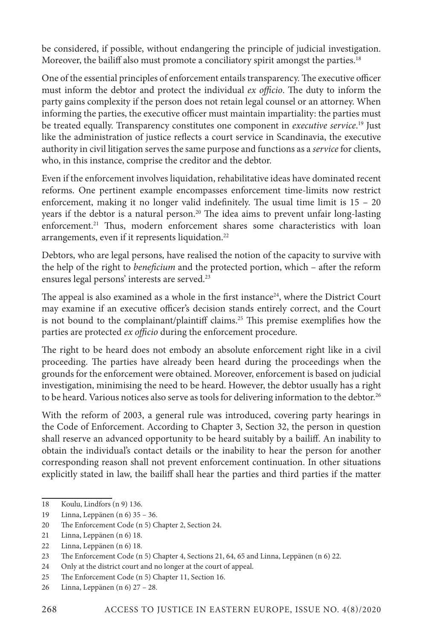be considered, if possible, without endangering the principle of judicial investigation. Moreover, the bailiff also must promote a conciliatory spirit amongst the parties.<sup>18</sup>

One of the essential principles of enforcement entails transparency. The executive officer must inform the debtor and protect the individual *ex officio*. The duty to inform the party gains complexity if the person does not retain legal counsel or an attorney. When informing the parties, the executive officer must maintain impartiality: the parties must be treated equally. Transparency constitutes one component in *executive service*. 19 Just like the administration of justice reflects a court service in Scandinavia, the executive authority in civil litigation serves the same purpose and functions as a *service* for clients, who, in this instance, comprise the creditor and the debtor.

Even if the enforcement involves liquidation, rehabilitative ideas have dominated recent reforms. One pertinent example encompasses enforcement time-limits now restrict enforcement, making it no longer valid indefinitely. The usual time limit is 15 – 20 years if the debtor is a natural person.<sup>20</sup> The idea aims to prevent unfair long-lasting enforcement.<sup>21</sup> Thus, modern enforcement shares some characteristics with loan arrangements, even if it represents liquidation.<sup>22</sup>

Debtors, who are legal persons, have realised the notion of the capacity to survive with the help of the right to *beneficium* and the protected portion, which – after the reform ensures legal persons' interests are served.23

The appeal is also examined as a whole in the first instance<sup>24</sup>, where the District Court may examine if an executive officer's decision stands entirely correct, and the Court is not bound to the complainant/plaintiff claims.25 This premise exemplifies how the parties are protected *ex officio* during the enforcement procedure.

The right to be heard does not embody an absolute enforcement right like in a civil proceeding. The parties have already been heard during the proceedings when the grounds for the enforcement were obtained. Moreover, enforcement is based on judicial investigation, minimising the need to be heard. However, the debtor usually has a right to be heard. Various notices also serve as tools for delivering information to the debtor.<sup>26</sup>

With the reform of 2003, a general rule was introduced, covering party hearings in the Code of Enforcement. According to Chapter 3, Section 32, the person in question shall reserve an advanced opportunity to be heard suitably by a bailiff. An inability to obtain the individual's contact details or the inability to hear the person for another corresponding reason shall not prevent enforcement continuation. In other situations explicitly stated in law, the bailiff shall hear the parties and third parties if the matter

<sup>18</sup> Koulu, Lindfors (n 9) 136.

<sup>19</sup> Linna, Leppänen (n 6) 35 – 36.

<sup>20</sup> The Enforcement Code (n 5) Chapter 2, Section 24.

<sup>21</sup> Linna, Leppänen (n 6) 18.

<sup>22</sup> Linna, Leppänen (n 6) 18.

<sup>23</sup> The Enforcement Code (n 5) Chapter 4, Sections 21, 64, 65 and Linna, Leppänen (n 6) 22.

<sup>24</sup> Only at the district court and no longer at the court of appeal.

<sup>25</sup> The Enforcement Code (n 5) Chapter 11, Section 16.

<sup>26</sup> Linna, Leppänen (n 6) 27 – 28.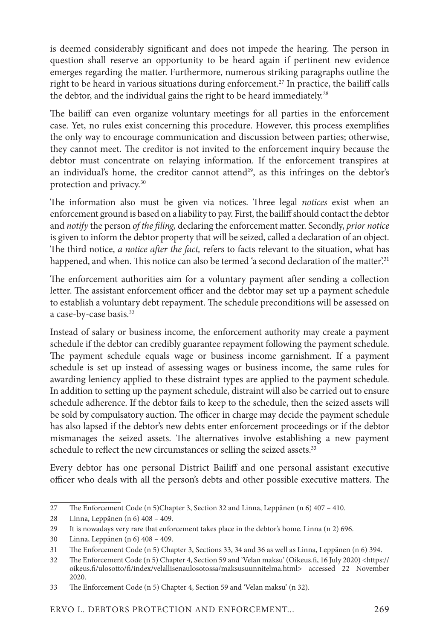is deemed considerably significant and does not impede the hearing. The person in question shall reserve an opportunity to be heard again if pertinent new evidence emerges regarding the matter. Furthermore, numerous striking paragraphs outline the right to be heard in various situations during enforcement.<sup>27</sup> In practice, the bailiff calls the debtor, and the individual gains the right to be heard immediately.<sup>28</sup>

The bailiff can even organize voluntary meetings for all parties in the enforcement case. Yet, no rules exist concerning this procedure. However, this process exemplifies the only way to encourage communication and discussion between parties; otherwise, they cannot meet. The creditor is not invited to the enforcement inquiry because the debtor must concentrate on relaying information. If the enforcement transpires at an individual's home, the creditor cannot attend<sup>29</sup>, as this infringes on the debtor's protection and privacy.30

The information also must be given via notices. Three legal *notices* exist when an enforcement ground is based on a liability to pay. First, the bailiff should contact the debtor and *notify* the person *of the filing,* declaring the enforcement matter. Secondly, *prior notice* is given to inform the debtor property that will be seized, called a declaration of an object. The third notice, *a notice after the fact,* refers to facts relevant to the situation, what has happened, and when. This notice can also be termed 'a second declaration of the matter.<sup>31</sup>

The enforcement authorities aim for a voluntary payment after sending a collection letter. The assistant enforcement officer and the debtor may set up a payment schedule to establish a voluntary debt repayment. The schedule preconditions will be assessed on a case-by-case basis.32

Instead of salary or business income, the enforcement authority may create a payment schedule if the debtor can credibly guarantee repayment following the payment schedule. The payment schedule equals wage or business income garnishment. If a payment schedule is set up instead of assessing wages or business income, the same rules for awarding leniency applied to these distraint types are applied to the payment schedule. In addition to setting up the payment schedule, distraint will also be carried out to ensure schedule adherence. If the debtor fails to keep to the schedule, then the seized assets will be sold by compulsatory auction. The officer in charge may decide the payment schedule has also lapsed if the debtor's new debts enter enforcement proceedings or if the debtor mismanages the seized assets. The alternatives involve establishing a new payment schedule to reflect the new circumstances or selling the seized assets.<sup>33</sup>

Every debtor has one personal District Bailiff and one personal assistant executive officer who deals with all the person's debts and other possible executive matters. The

<sup>27</sup> The Enforcement Code (n 5)Chapter 3, Section 32 and Linna, Leppänen (n 6) 407 – 410.

<sup>28</sup> Linna, Leppänen (n 6) 408 – 409.

<sup>29</sup> It is nowadays very rare that enforcement takes place in the debtor's home. Linna (n 2) 696.

<sup>30</sup> Linna, Leppänen (n 6) 408 – 409.

<sup>31</sup> The Enforcement Code (n 5) Chapter 3, Sections 33, 34 and 36 as well as Linna, Leppänen (n 6) 394.

<sup>32</sup> The Enforcement Code (n 5) Chapter 4, Section 59 and 'Velan maksu' (Oikeus.fi, 16 July 2020) <https:// oikeus.fi/ulosotto/fi/index/velallisenaulosotossa/maksusuunnitelma.html> accessed 22 November 2020.

<sup>33</sup> The Enforcement Code (n 5) Chapter 4, Section 59 and 'Velan maksu' (n 32).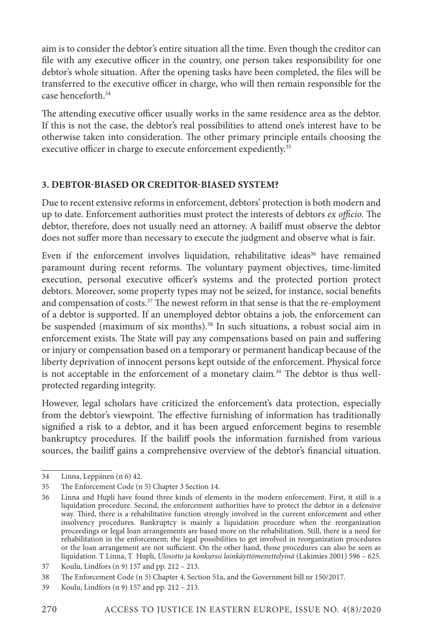aim is to consider the debtor's entire situation all the time. Even though the creditor can file with any executive officer in the country, one person takes responsibility for one debtor's whole situation. After the opening tasks have been completed, the files will be transferred to the executive officer in charge, who will then remain responsible for the case henceforth.34

The attending executive officer usually works in the same residence area as the debtor. If this is not the case, the debtor's real possibilities to attend one's interest have to be otherwise taken into consideration. The other primary principle entails choosing the executive officer in charge to execute enforcement expediently.<sup>35</sup>

## **3. DEBTOR-BIASED OR CREDITOR-BIASED SYSTEM?**

Due to recent extensive reforms in enforcement, debtors' protection is both modern and up to date. Enforcement authorities must protect the interests of debtors *ex officio*. The debtor, therefore, does not usually need an attorney. A bailiff must observe the debtor does not suffer more than necessary to execute the judgment and observe what is fair.

Even if the enforcement involves liquidation, rehabilitative ideas<sup>36</sup> have remained paramount during recent reforms. The voluntary payment objectives, time-limited execution, personal executive officer's systems and the protected portion protect debtors. Moreover, some property types may not be seized, for instance, social benefits and compensation of costs.<sup>37</sup> The newest reform in that sense is that the re-employment of a debtor is supported. If an unemployed debtor obtains a job, the enforcement can be suspended (maximum of six months).<sup>38</sup> In such situations, a robust social aim in enforcement exists. The State will pay any compensations based on pain and suffering or injury or compensation based on a temporary or permanent handicap because of the liberty deprivation of innocent persons kept outside of the enforcement. Physical force is not acceptable in the enforcement of a monetary claim.<sup>39</sup> The debtor is thus wellprotected regarding integrity.

However, legal scholars have criticized the enforcement's data protection, especially from the debtor's viewpoint. The effective furnishing of information has traditionally signified a risk to a debtor, and it has been argued enforcement begins to resemble bankruptcy procedures. If the bailiff pools the information furnished from various sources, the bailiff gains a comprehensive overview of the debtor's financial situation.

<sup>34</sup> Linna, Leppänen (n 6) 42.

<sup>35</sup> The Enforcement Code (n 5) Chapter 3 Section 14.

<sup>36</sup> Linna and Hupli have found three kinds of elements in the modern enforcement. First, it still is a liquidation procedure. Second, the enforcement authorities have to protect the debtor in a defensive way. Third, there is a rehabilitative function strongly involved in the current enforcement and other insolvency procedures. Bankruptcy is mainly a liquidation procedure when the reorganization proceedings or legal loan arrangements are based more on the rehabilitation. Still, there is a need for rehabilitation in the enforcement; the legal possibilities to get involved in reorganization procedures or the loan arrangement are not sufficient. On the other hand, those procedures can also be seen as liquidation. T Linna, T Hupli, *Ulosotto ja konkurssi lainkäyttömenettelyinä* (Lakimies 2001) 596 – 625.

<sup>37</sup> Koulu, Lindfors (n 9) 157 and pp. 212 – 213.

<sup>38</sup> The Enforcement Code (n 5) Chapter 4, Section 51a, and the Government bill nr 150/2017.

<sup>39</sup> Koulu, Lindfors (n 9) 157 and pp. 212 – 213.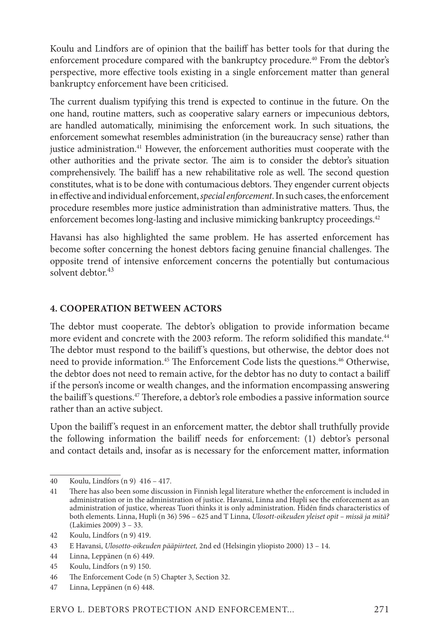Koulu and Lindfors are of opinion that the bailiff has better tools for that during the enforcement procedure compared with the bankruptcy procedure.<sup>40</sup> From the debtor's perspective, more effective tools existing in a single enforcement matter than general bankruptcy enforcement have been criticised.

The current dualism typifying this trend is expected to continue in the future. On the one hand, routine matters, such as cooperative salary earners or impecunious debtors, are handled automatically, minimising the enforcement work. In such situations, the enforcement somewhat resembles administration (in the bureaucracy sense) rather than justice administration.<sup>41</sup> However, the enforcement authorities must cooperate with the other authorities and the private sector. The aim is to consider the debtor's situation comprehensively. The bailiff has a new rehabilitative role as well. The second question constitutes, what is to be done with contumacious debtors. They engender current objects in effective and individual enforcement, *special enforcement*. In such cases, the enforcement procedure resembles more justice administration than administrative matters. Thus, the enforcement becomes long-lasting and inclusive mimicking bankruptcy proceedings.<sup>42</sup>

Havansi has also highlighted the same problem. He has asserted enforcement has become softer concerning the honest debtors facing genuine financial challenges. The opposite trend of intensive enforcement concerns the potentially but contumacious solvent debtor  $43$ 

#### **4. COOPERATION BETWEEN ACTORS**

The debtor must cooperate. The debtor's obligation to provide information became more evident and concrete with the 2003 reform. The reform solidified this mandate.<sup>44</sup> The debtor must respond to the bailiff 's questions, but otherwise, the debtor does not need to provide information.<sup>45</sup> The Enforcement Code lists the questions.<sup>46</sup> Otherwise, the debtor does not need to remain active, for the debtor has no duty to contact a bailiff if the person's income or wealth changes, and the information encompassing answering the bailiff 's questions.47 Therefore, a debtor's role embodies a passive information source rather than an active subject.

Upon the bailiff 's request in an enforcement matter, the debtor shall truthfully provide the following information the bailiff needs for enforcement: (1) debtor's personal and contact details and, insofar as is necessary for the enforcement matter, information

<sup>40</sup> Koulu, Lindfors (n 9) 416 – 417.

<sup>41</sup> There has also been some discussion in Finnish legal literature whether the enforcement is included in administration or in the administration of justice. Havansi, Linna and Hupli see the enforcement as an administration of justice, whereas Tuori thinks it is only administration. Hidén finds characteristics of both elements. Linna, Hupli (n 36) 596 – 625 and T Linna, *Ulosott-oikeuden yleiset opit – missä ja mitä?*  (Lakimies 2009) 3 – 33.

<sup>42</sup> Koulu, Lindfors (n 9) 419.

<sup>43</sup> E Havansi, *Ulosotto-oikeuden pääpiirteet,* 2nd ed (Helsingin yliopisto 2000) 13 – 14.

<sup>44</sup> Linna, Leppänen (n 6) 449.

<sup>45</sup> Koulu, Lindfors (n 9) 150.

<sup>46</sup> The Enforcement Code (n 5) Chapter 3, Section 32.

<sup>47</sup> Linna, Leppänen (n 6) 448.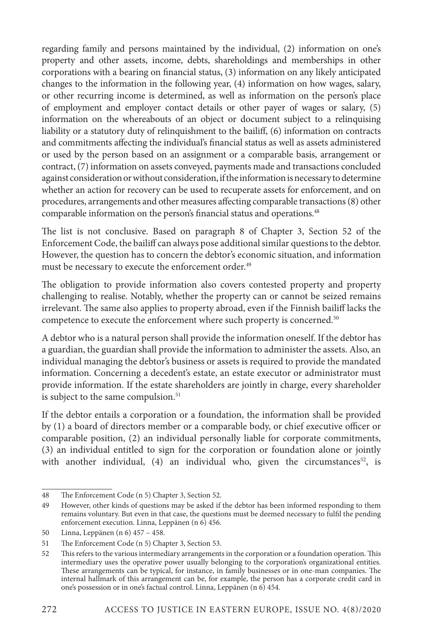regarding family and persons maintained by the individual, (2) information on one's property and other assets, income, debts, shareholdings and memberships in other corporations with a bearing on financial status, (3) information on any likely anticipated changes to the information in the following year, (4) information on how wages, salary, or other recurring income is determined, as well as information on the person's place of employment and employer contact details or other payer of wages or salary, (5) information on the whereabouts of an object or document subject to a relinquising liability or a statutory duty of relinquishment to the bailiff, (6) information on contracts and commitments affecting the individual's financial status as well as assets administered or used by the person based on an assignment or a comparable basis, arrangement or contract, (7) information on assets conveyed, payments made and transactions concluded against consideration or without consideration, if the information is necessary to determine whether an action for recovery can be used to recuperate assets for enforcement, and on procedures, arrangements and other measures affecting comparable transactions (8) other comparable information on the person's financial status and operations.<sup>48</sup>

The list is not conclusive. Based on paragraph 8 of Chapter 3, Section 52 of the Enforcement Code, the bailiff can always pose additional similar questions to the debtor. However, the question has to concern the debtor's economic situation, and information must be necessary to execute the enforcement order.<sup>49</sup>

The obligation to provide information also covers contested property and property challenging to realise. Notably, whether the property can or cannot be seized remains irrelevant. The same also applies to property abroad, even if the Finnish bailiff lacks the competence to execute the enforcement where such property is concerned.<sup>50</sup>

A debtor who is a natural person shall provide the information oneself. If the debtor has a guardian, the guardian shall provide the information to administer the assets. Also, an individual managing the debtor's business or assets is required to provide the mandated information. Concerning a decedent's estate, an estate executor or administrator must provide information. If the estate shareholders are jointly in charge, every shareholder is subject to the same compulsion.<sup>51</sup>

If the debtor entails a corporation or a foundation, the information shall be provided by (1) a board of directors member or a comparable body, or chief executive officer or comparable position, (2) an individual personally liable for corporate commitments, (3) an individual entitled to sign for the corporation or foundation alone or jointly with another individual, (4) an individual who, given the circumstances<sup>52</sup>, is

<sup>48</sup> The Enforcement Code (n 5) Chapter 3, Section 52.

<sup>49</sup> However, other kinds of questions may be asked if the debtor has been informed responding to them remains voluntary. But even in that case, the questions must be deemed necessary to fulfil the pending enforcement execution. Linna, Leppänen (n 6) 456.

<sup>50</sup> Linna, Leppänen (n 6) 457 – 458.

<sup>51</sup> The Enforcement Code (n 5) Chapter 3, Section 53.

<sup>52</sup> This refers to the various intermediary arrangements in the corporation or a foundation operation. This intermediary uses the operative power usually belonging to the corporation's organizational entities. These arrangements can be typical, for instance, in family businesses or in one-man companies. The internal hallmark of this arrangement can be, for example, the person has a corporate credit card in one's possession or in one's factual control. Linna, Leppänen (n 6) 454.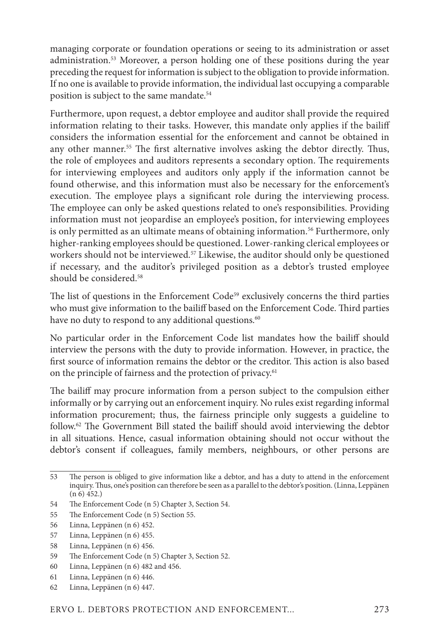managing corporate or foundation operations or seeing to its administration or asset administration.53 Moreover, a person holding one of these positions during the year preceding the request for information is subject to the obligation to provide information. If no one is available to provide information, the individual last occupying a comparable position is subject to the same mandate.<sup>54</sup>

Furthermore, upon request, a debtor employee and auditor shall provide the required information relating to their tasks. However, this mandate only applies if the bailiff considers the information essential for the enforcement and cannot be obtained in any other manner.<sup>55</sup> The first alternative involves asking the debtor directly. Thus, the role of employees and auditors represents a secondary option. The requirements for interviewing employees and auditors only apply if the information cannot be found otherwise, and this information must also be necessary for the enforcement's execution. The employee plays a significant role during the interviewing process. The employee can only be asked questions related to one's responsibilities. Providing information must not jeopardise an employee's position, for interviewing employees is only permitted as an ultimate means of obtaining information.<sup>56</sup> Furthermore, only higher-ranking employees should be questioned. Lower-ranking clerical employees or workers should not be interviewed.<sup>57</sup> Likewise, the auditor should only be questioned if necessary, and the auditor's privileged position as a debtor's trusted employee should be considered.<sup>58</sup>

The list of questions in the Enforcement Code<sup>59</sup> exclusively concerns the third parties who must give information to the bailiff based on the Enforcement Code. Third parties have no duty to respond to any additional questions.<sup>60</sup>

No particular order in the Enforcement Code list mandates how the bailiff should interview the persons with the duty to provide information. However, in practice, the first source of information remains the debtor or the creditor. This action is also based on the principle of fairness and the protection of privacy.<sup>61</sup>

The bailiff may procure information from a person subject to the compulsion either informally or by carrying out an enforcement inquiry. No rules exist regarding informal information procurement; thus, the fairness principle only suggests a guideline to follow.62 The Government Bill stated the bailiff should avoid interviewing the debtor in all situations. Hence, casual information obtaining should not occur without the debtor's consent if colleagues, family members, neighbours, or other persons are

- 57 Linna, Leppänen (n 6) 455.
- 58 Linna, Leppänen (n 6) 456.
- 59 The Enforcement Code (n 5) Chapter 3, Section 52.
- 60 Linna, Leppänen (n 6) 482 and 456.
- 61 Linna, Leppänen (n 6) 446.
- 62 Linna, Leppänen (n 6) 447.

<sup>53</sup> The person is obliged to give information like a debtor, and has a duty to attend in the enforcement inquiry. Thus, one's position can therefore be seen as a parallel to the debtor's position. (Linna, Leppänen  $(n 6)$  452.)

<sup>54</sup> The Enforcement Code (n 5) Chapter 3, Section 54.

<sup>55</sup> The Enforcement Code (n 5) Section 55.

<sup>56</sup> Linna, Leppänen (n 6) 452.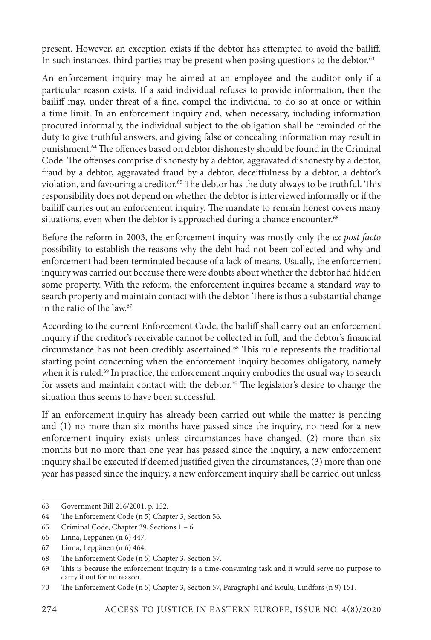present. However, an exception exists if the debtor has attempted to avoid the bailiff. In such instances, third parties may be present when posing questions to the debtor.<sup>63</sup>

An enforcement inquiry may be aimed at an employee and the auditor only if a particular reason exists. If a said individual refuses to provide information, then the bailiff may, under threat of a fine, compel the individual to do so at once or within a time limit. In an enforcement inquiry and, when necessary, including information procured informally, the individual subject to the obligation shall be reminded of the duty to give truthful answers, and giving false or concealing information may result in punishment.64 The offences based on debtor dishonesty should be found in the Criminal Code. The offenses comprise dishonesty by a debtor, aggravated dishonesty by a debtor, fraud by a debtor, aggravated fraud by a debtor, deceitfulness by a debtor, a debtor's violation, and favouring a creditor.<sup>65</sup> The debtor has the duty always to be truthful. This responsibility does not depend on whether the debtor is interviewed informally or if the bailiff carries out an enforcement inquiry. The mandate to remain honest covers many situations, even when the debtor is approached during a chance encounter.<sup>66</sup>

Before the reform in 2003, the enforcement inquiry was mostly only the *ex post facto* possibility to establish the reasons why the debt had not been collected and why and enforcement had been terminated because of a lack of means. Usually, the enforcement inquiry was carried out because there were doubts about whether the debtor had hidden some property. With the reform, the enforcement inquires became a standard way to search property and maintain contact with the debtor. There is thus a substantial change in the ratio of the law  $67$ 

According to the current Enforcement Code, the bailiff shall carry out an enforcement inquiry if the creditor's receivable cannot be collected in full, and the debtor's financial circumstance has not been credibly ascertained.68 This rule represents the traditional starting point concerning when the enforcement inquiry becomes obligatory, namely when it is ruled.<sup>69</sup> In practice, the enforcement inquiry embodies the usual way to search for assets and maintain contact with the debtor.<sup>70</sup> The legislator's desire to change the situation thus seems to have been successful.

If an enforcement inquiry has already been carried out while the matter is pending and (1) no more than six months have passed since the inquiry, no need for a new enforcement inquiry exists unless circumstances have changed, (2) more than six months but no more than one year has passed since the inquiry, a new enforcement inquiry shall be executed if deemed justified given the circumstances, (3) more than one year has passed since the inquiry, a new enforcement inquiry shall be carried out unless

<sup>63</sup> Government Bill 216/2001, p. 152.

<sup>64</sup> The Enforcement Code (n 5) Chapter 3, Section 56.

<sup>65</sup> Criminal Code, Chapter 39, Sections 1 – 6.

<sup>66</sup> Linna, Leppänen (n 6) 447.

<sup>67</sup> Linna, Leppänen (n 6) 464.

<sup>68</sup> The Enforcement Code (n 5) Chapter 3, Section 57.

<sup>69</sup> This is because the enforcement inquiry is a time-consuming task and it would serve no purpose to carry it out for no reason.

<sup>70</sup> The Enforcement Code (n 5) Chapter 3, Section 57, Paragraph1 and Koulu, Lindfors (n 9) 151.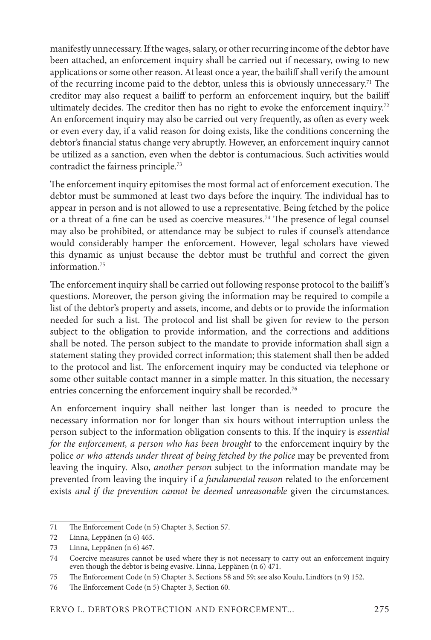manifestly unnecessary. If the wages, salary, or other recurring income of the debtor have been attached, an enforcement inquiry shall be carried out if necessary, owing to new applications or some other reason. At least once a year, the bailiff shall verify the amount of the recurring income paid to the debtor, unless this is obviously unnecessary.71 The creditor may also request a bailiff to perform an enforcement inquiry, but the bailiff ultimately decides. The creditor then has no right to evoke the enforcement inquiry.<sup>72</sup> An enforcement inquiry may also be carried out very frequently, as often as every week or even every day, if a valid reason for doing exists, like the conditions concerning the debtor's financial status change very abruptly. However, an enforcement inquiry cannot be utilized as a sanction, even when the debtor is contumacious. Such activities would contradict the fairness principle.73

The enforcement inquiry epitomises the most formal act of enforcement execution. The debtor must be summoned at least two days before the inquiry. The individual has to appear in person and is not allowed to use a representative. Being fetched by the police or a threat of a fine can be used as coercive measures.<sup>74</sup> The presence of legal counsel may also be prohibited, or attendance may be subject to rules if counsel's attendance would considerably hamper the enforcement. However, legal scholars have viewed this dynamic as unjust because the debtor must be truthful and correct the given information.75

The enforcement inquiry shall be carried out following response protocol to the bailiff 's questions. Moreover, the person giving the information may be required to compile a list of the debtor's property and assets, income, and debts or to provide the information needed for such a list. The protocol and list shall be given for review to the person subject to the obligation to provide information, and the corrections and additions shall be noted. The person subject to the mandate to provide information shall sign a statement stating they provided correct information; this statement shall then be added to the protocol and list. The enforcement inquiry may be conducted via telephone or some other suitable contact manner in a simple matter. In this situation, the necessary entries concerning the enforcement inquiry shall be recorded.<sup>76</sup>

An enforcement inquiry shall neither last longer than is needed to procure the necessary information nor for longer than six hours without interruption unless the person subject to the information obligation consents to this. If the inquiry is *essential for the enforcement, a person who has been brought* to the enforcement inquiry by the police *or who attends under threat of being fetched by the police* may be prevented from leaving the inquiry. Also, *another person* subject to the information mandate may be prevented from leaving the inquiry if *a fundamental reason* related to the enforcement exists *and if the prevention cannot be deemed unreasonable* given the circumstances.

<sup>71</sup> The Enforcement Code (n 5) Chapter 3, Section 57.

<sup>72</sup> Linna, Leppänen (n 6) 465.

<sup>73</sup> Linna, Leppänen (n 6) 467.

<sup>74</sup> Coercive measures cannot be used where they is not necessary to carry out an enforcement inquiry even though the debtor is being evasive. Linna, Leppänen (n 6) 471.

<sup>75</sup> The Enforcement Code (n 5) Chapter 3, Sections 58 and 59; see also Koulu, Lindfors (n 9) 152.

<sup>76</sup> The Enforcement Code (n 5) Chapter 3, Section 60.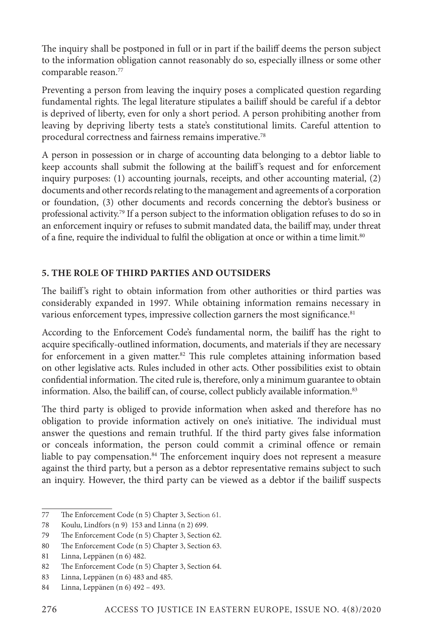The inquiry shall be postponed in full or in part if the bailiff deems the person subject to the information obligation cannot reasonably do so, especially illness or some other comparable reason.77

Preventing a person from leaving the inquiry poses a complicated question regarding fundamental rights. The legal literature stipulates a bailiff should be careful if a debtor is deprived of liberty, even for only a short period. A person prohibiting another from leaving by depriving liberty tests a state's constitutional limits. Careful attention to procedural correctness and fairness remains imperative.78

A person in possession or in charge of accounting data belonging to a debtor liable to keep accounts shall submit the following at the bailiff's request and for enforcement inquiry purposes: (1) accounting journals, receipts, and other accounting material, (2) documents and other records relating to the management and agreements of a corporation or foundation, (3) other documents and records concerning the debtor's business or professional activity.79 If a person subject to the information obligation refuses to do so in an enforcement inquiry or refuses to submit mandated data, the bailiff may, under threat of a fine, require the individual to fulfil the obligation at once or within a time limit.<sup>80</sup>

# **5. THE ROLE OF THIRD PARTIES AND OUTSIDERS**

The bailiff's right to obtain information from other authorities or third parties was considerably expanded in 1997. While obtaining information remains necessary in various enforcement types, impressive collection garners the most significance.<sup>81</sup>

According to the Enforcement Code's fundamental norm, the bailiff has the right to acquire specifically-outlined information, documents, and materials if they are necessary for enforcement in a given matter.<sup>82</sup> This rule completes attaining information based on other legislative acts. Rules included in other acts. Other possibilities exist to obtain confidential information. The cited rule is, therefore, only a minimum guarantee to obtain information. Also, the bailiff can, of course, collect publicly available information.<sup>83</sup>

The third party is obliged to provide information when asked and therefore has no obligation to provide information actively on one's initiative. The individual must answer the questions and remain truthful. If the third party gives false information or conceals information, the person could commit a criminal offence or remain liable to pay compensation.<sup>84</sup> The enforcement inquiry does not represent a measure against the third party, but a person as a debtor representative remains subject to such an inquiry. However, the third party can be viewed as a debtor if the bailiff suspects

<sup>77</sup> The Enforcement Code (n 5) Chapter 3, Section 61.

<sup>78</sup> Koulu, Lindfors (n 9) 153 and Linna (n 2) 699.

<sup>79</sup> The Enforcement Code (n 5) Chapter 3, Section 62.

<sup>80</sup> The Enforcement Code (n 5) Chapter 3, Section 63.

<sup>81</sup> Linna, Leppänen (n 6) 482.

<sup>82</sup> The Enforcement Code (n 5) Chapter 3, Section 64.

<sup>83</sup> Linna, Leppänen (n 6) 483 and 485.

<sup>84</sup> Linna, Leppänen (n 6) 492 – 493.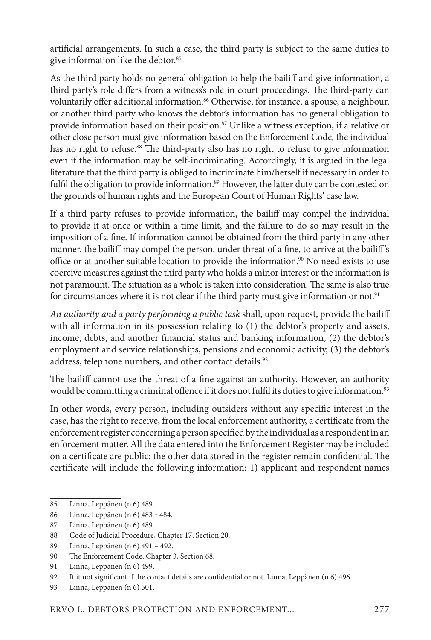artificial arrangements. In such a case, the third party is subject to the same duties to give information like the debtor.<sup>85</sup>

As the third party holds no general obligation to help the bailiff and give information, a third party's role differs from a witness's role in court proceedings. The third-party can voluntarily offer additional information.<sup>86</sup> Otherwise, for instance, a spouse, a neighbour, or another third party who knows the debtor's information has no general obligation to provide information based on their position.<sup>87</sup> Unlike a witness exception, if a relative or other close person must give information based on the Enforcement Code, the individual has no right to refuse.<sup>88</sup> The third-party also has no right to refuse to give information even if the information may be self-incriminating. Accordingly, it is argued in the legal literature that the third party is obliged to incriminate him/herself if necessary in order to fulfil the obligation to provide information.<sup>89</sup> However, the latter duty can be contested on the grounds of human rights and the European Court of Human Rights' case law.

If a third party refuses to provide information, the bailiff may compel the individual to provide it at once or within a time limit, and the failure to do so may result in the imposition of a fine. If information cannot be obtained from the third party in any other manner, the bailiff may compel the person, under threat of a fine, to arrive at the bailiff's office or at another suitable location to provide the information.<sup>90</sup> No need exists to use coercive measures against the third party who holds a minor interest or the information is not paramount. The situation as a whole is taken into consideration. The same is also true for circumstances where it is not clear if the third party must give information or not.<sup>91</sup>

*An authority and a party performing a public task* shall, upon request, provide the bailiff with all information in its possession relating to (1) the debtor's property and assets, income, debts, and another financial status and banking information, (2) the debtor's employment and service relationships, pensions and economic activity, (3) the debtor's address, telephone numbers, and other contact details.<sup>92</sup>

The bailiff cannot use the threat of a fine against an authority. However, an authority would be committing a criminal offence if it does not fulfil its duties to give information.<sup>93</sup>

In other words, every person, including outsiders without any specific interest in the case, has the right to receive, from the local enforcement authority, a certificate from the enforcement register concerning a person specified by the individual as a respondent in an enforcement matter. All the data entered into the Enforcement Register may be included on a certificate are public; the other data stored in the register remain confidential. The certificate will include the following information: 1) applicant and respondent names

<sup>85</sup> Linna, Leppänen (n 6) 489.

<sup>86</sup> Linna, Leppänen (n 6) 483 ‒ 484.

<sup>87</sup> Linna, Leppänen (n 6) 489.

<sup>88</sup> Code of Judicial Procedure, Chapter 17, Section 20.

<sup>89</sup> Linna, Leppänen (n 6) 491 – 492.

<sup>90</sup> The Enforcement Code, Chapter 3, Section 68.

<sup>91</sup> Linna, Leppänen (n 6) 499.

<sup>92</sup> It it not significant if the contact details are confidential or not. Linna, Leppänen (n 6) 496.

<sup>93</sup> Linna, Leppänen (n 6) 501.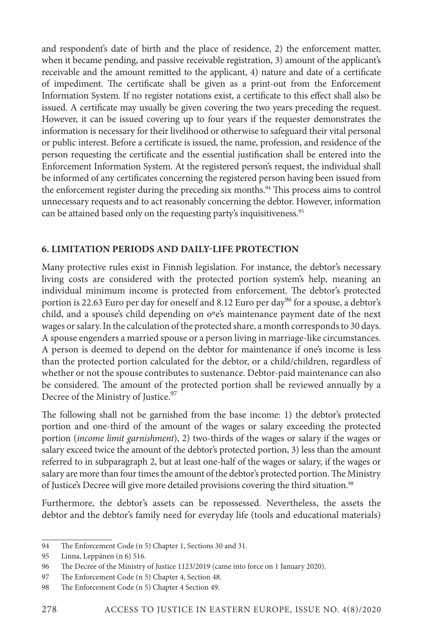and respondent's date of birth and the place of residence, 2) the enforcement matter, when it became pending, and passive receivable registration, 3) amount of the applicant's receivable and the amount remitted to the applicant, 4) nature and date of a certificate of impediment. The certificate shall be given as a print-out from the Enforcement Information System. If no register notations exist, a certificate to this effect shall also be issued. A certificate may usually be given covering the two years preceding the request. However, it can be issued covering up to four years if the requester demonstrates the information is necessary for their livelihood or otherwise to safeguard their vital personal or public interest. Before a certificate is issued, the name, profession, and residence of the person requesting the certificate and the essential justification shall be entered into the Enforcement Information System. At the registered person's request, the individual shall be informed of any certificates concerning the registered person having been issued from the enforcement register during the preceding six months.<sup>94</sup> This process aims to control unnecessary requests and to act reasonably concerning the debtor. However, information can be attained based only on the requesting party's inquisitiveness.<sup>95</sup>

# **6. LIMITATION PERIODS AND DAILY-LIFE PROTECTION**

Many protective rules exist in Finnish legislation. For instance, the debtor's necessary living costs are considered with the protected portion system's help, meaning an individual minimum income is protected from enforcement. The debtor's protected portion is 22.63 Euro per day for oneself and 8.12 Euro per day<sup>96</sup> for a spouse, a debtor's child, and a spouse's child depending on o<sup>n</sup>e's maintenance payment date of the next wages or salary. In the calculation of the protected share, a month corresponds to 30 days. A spouse engenders a married spouse or a person living in marriage-like circumstances. A person is deemed to depend on the debtor for maintenance if one's income is less than the protected portion calculated for the debtor, or a child/children, regardless of whether or not the spouse contributes to sustenance. Debtor-paid maintenance can also be considered. The amount of the protected portion shall be reviewed annually by a Decree of the Ministry of Justice.<sup>97</sup>

The following shall not be garnished from the base income: 1) the debtor's protected portion and one-third of the amount of the wages or salary exceeding the protected portion (*income limit garnishment*), 2) two-thirds of the wages or salary if the wages or salary exceed twice the amount of the debtor's protected portion, 3) less than the amount referred to in subparagraph 2, but at least one-half of the wages or salary, if the wages or salary are more than four times the amount of the debtor's protected portion. The Ministry of Justice's Decree will give more detailed provisions covering the third situation.<sup>98</sup>

Furthermore, the debtor's assets can be repossessed. Nevertheless, the assets the debtor and the debtor's family need for everyday life (tools and educational materials)

<sup>94</sup> The Enforcement Code (n 5) Chapter 1, Sections 30 and 31.

<sup>95</sup> Linna, Leppänen (n 6) 516.

<sup>96</sup> The Decree of the Ministry of Justice 1123/2019 (came into force on 1 January 2020).

<sup>97</sup> The Enforcement Code (n 5) Chapter 4, Section 48.

<sup>98</sup> The Enforcement Code (n 5) Chapter 4 Section 49.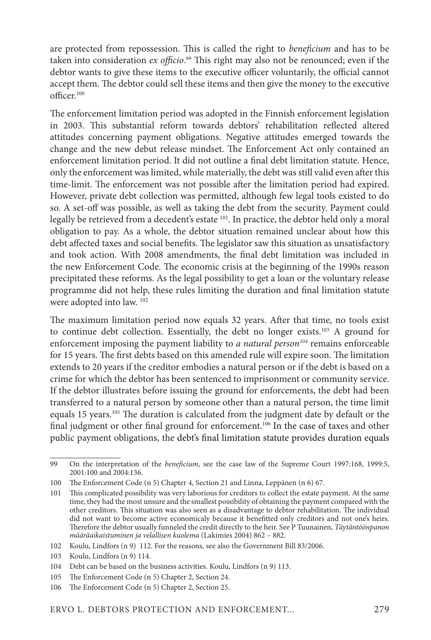are protected from repossession. This is called the right to *beneficium* and has to be taken into consideration *ex officio*. 99 This right may also not be renounced; even if the debtor wants to give these items to the executive officer voluntarily, the official cannot accept them. The debtor could sell these items and then give the money to the executive  $off <sub>100</sub>$ 

The enforcement limitation period was adopted in the Finnish enforcement legislation in 2003. This substantial reform towards debtors' rehabilitation reflected altered attitudes concerning payment obligations. Negative attitudes emerged towards the change and the new debut release mindset. The Enforcement Act only contained an enforcement limitation period. It did not outline a final debt limitation statute. Hence, only the enforcement was limited, while materially, the debt was still valid even after this time-limit. The enforcement was not possible after the limitation period had expired. However, private debt collection was permitted, although few legal tools existed to do so. A set-off was possible, as well as taking the debt from the security. Payment could legally be retrieved from a decedent's estate <sup>101</sup>. In practice, the debtor held only a moral obligation to pay. As a whole, the debtor situation remained unclear about how this debt affected taxes and social benefits. The legislator saw this situation as unsatisfactory and took action. With 2008 amendments, the final debt limitation was included in the new Enforcement Code. The economic crisis at the beginning of the 1990s reason precipitated these reforms. As the legal possibility to get a loan or the voluntary release programme did not help, these rules limiting the duration and final limitation statute were adopted into law. 102

The maximum limitation period now equals 32 years. After that time, no tools exist to continue debt collection. Essentially, the debt no longer exists.<sup>103</sup> A ground for enforcement imposing the payment liability to *a natural person104* remains enforceable for 15 years. The first debts based on this amended rule will expire soon. The limitation extends to 20 years if the creditor embodies a natural person or if the debt is based on a crime for which the debtor has been sentenced to imprisonment or community service. If the debtor illustrates before issuing the ground for enforcements, the debt had been transferred to a natural person by someone other than a natural person, the time limit equals 15 years.<sup>105</sup> The duration is calculated from the judgment date by default or the final judgment or other final ground for enforcement.<sup>106</sup> In the case of taxes and other public payment obligations, the debt's final limitation statute provides duration equals

<sup>99</sup> On the interpretation of the *beneficium*, see the case law of the Supreme Court 1997:168, 1999:5, 2001:100 and 2004:136.

<sup>100</sup> The Enforcement Code (n 5) Chapter 4, Section 21 and Linna, Leppänen (n 6) 67.

<sup>101</sup> This complicated possibility was very laborious for creditors to collect the estate payment. At the same time, they had the most unsure and the smallest possibility of obtaining the payment compared with the other creditors. This situation was also seen as a disadvantage to debtor rehabilitation. The individual did not want to become active economicaly because it benefitted only creditors and not one's heirs. Therefore the debtor usually funneled the credit directly to the heir. See P Tuunainen, *Täytäntöönpanon määräaikaistuminen ja velallisen kuolema* (Lakimies 2004) 862 – 882.

<sup>102</sup> Koulu, Lindfors (n 9) 112. For the reasons, see also the Government Bill 83/2006.

<sup>103</sup> Koulu, Lindfors (n 9) 114.

<sup>104</sup> Debt can be based on the business activities. Koulu, Lindfors (n 9) 113.

<sup>105</sup> The Enforcement Code (n 5) Chapter 2, Section 24.

<sup>106</sup> The Enforcement Code (n 5) Chapter 2, Section 25.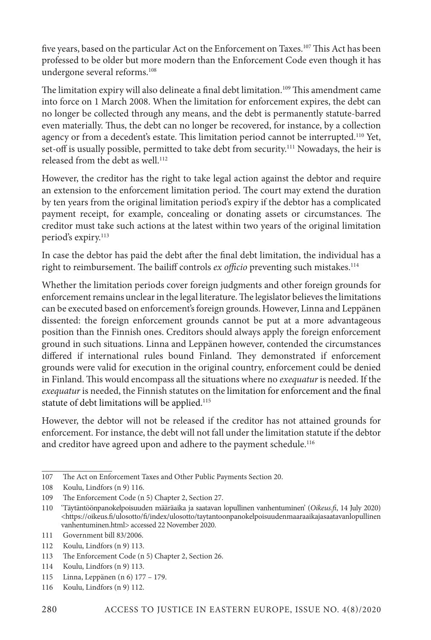five years, based on the particular Act on the Enforcement on Taxes.<sup>107</sup> This Act has been professed to be older but more modern than the Enforcement Code even though it has undergone several reforms.108

The limitation expiry will also delineate a final debt limitation.<sup>109</sup> This amendment came into force on 1 March 2008. When the limitation for enforcement expires, the debt can no longer be collected through any means, and the debt is permanently statute-barred even materially. Thus, the debt can no longer be recovered, for instance, by a collection agency or from a decedent's estate. This limitation period cannot be interrupted.110 Yet, set-off is usually possible, permitted to take debt from security.<sup>111</sup> Nowadays, the heir is released from the debt as well.<sup>112</sup>

However, the creditor has the right to take legal action against the debtor and require an extension to the enforcement limitation period. The court may extend the duration by ten years from the original limitation period's expiry if the debtor has a complicated payment receipt, for example, concealing or donating assets or circumstances. The creditor must take such actions at the latest within two years of the original limitation period's expiry.<sup>113</sup>

In case the debtor has paid the debt after the final debt limitation, the individual has a right to reimbursement. The bailiff controls ex officio preventing such mistakes.<sup>114</sup>

Whether the limitation periods cover foreign judgments and other foreign grounds for enforcement remains unclear in the legal literature. The legislator believes the limitations can be executed based on enforcement's foreign grounds. However, Linna and Leppänen dissented: the foreign enforcement grounds cannot be put at a more advantageous position than the Finnish ones. Creditors should always apply the foreign enforcement ground in such situations. Linna and Leppänen however, contended the circumstances differed if international rules bound Finland. They demonstrated if enforcement grounds were valid for execution in the original country, enforcement could be denied in Finland. This would encompass all the situations where no *exequatur* is needed. If the *exequatur* is needed, the Finnish statutes on the limitation for enforcement and the final statute of debt limitations will be applied.<sup>115</sup>

However, the debtor will not be released if the creditor has not attained grounds for enforcement. For instance, the debt will not fall under the limitation statute if the debtor and creditor have agreed upon and adhere to the payment schedule.<sup>116</sup>

- 115 Linna, Leppänen (n 6) 177 179.
- 116 Koulu, Lindfors (n 9) 112.

<sup>107</sup> The Act on Enforcement Taxes and Other Public Payments Section 20.

<sup>108</sup> Koulu, Lindfors (n 9) 116.

<sup>109</sup> The Enforcement Code (n 5) Chapter 2, Section 27.

<sup>110</sup> 'Täytäntöönpanokelpoisuuden määräaika ja saatavan lopullinen vanhentuminen' (*Oikeus.fi*, 14 July 2020) <https://oikeus.fi/ulosotto/fi/index/ulosotto/taytantoonpanokelpoisuudenmaaraaikajasaatavanlopullinen vanhentuminen.html> accessed 22 November 2020.

<sup>111</sup> Government bill 83/2006.

<sup>112</sup> Koulu, Lindfors (n 9) 113.

<sup>113</sup> The Enforcement Code (n 5) Chapter 2, Section 26.

<sup>114</sup> Koulu, Lindfors (n 9) 113.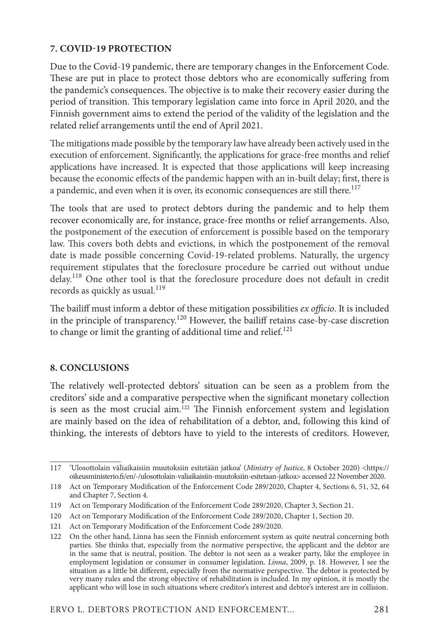#### **7. COVID-19 PROTECTION**

Due to the Covid-19 pandemic, there are temporary changes in the Enforcement Code. These are put in place to protect those debtors who are economically suffering from the pandemic's consequences. The objective is to make their recovery easier during the period of transition. This temporary legislation came into force in April 2020, and the Finnish government aims to extend the period of the validity of the legislation and the related relief arrangements until the end of April 2021.

The mitigations made possible by the temporary law have already been actively used in the execution of enforcement. Significantly, the applications for grace-free months and relief applications have increased. It is expected that those applications will keep increasing because the economic effects of the pandemic happen with an in-built delay; first, there is a pandemic, and even when it is over, its economic consequences are still there.<sup>117</sup>

The tools that are used to protect debtors during the pandemic and to help them recover economically are, for instance, grace-free months or relief arrangements. Also, the postponement of the execution of enforcement is possible based on the temporary law. This covers both debts and evictions, in which the postponement of the removal date is made possible concerning Covid-19-related problems. Naturally, the urgency requirement stipulates that the foreclosure procedure be carried out without undue delay.118 One other tool is that the foreclosure procedure does not default in credit records as quickly as usual. $119$ 

The bailiff must inform a debtor of these mitigation possibilities *ex officio*. It is included in the principle of transparency.120 However, the bailiff retains case-by-case discretion to change or limit the granting of additional time and relief. $121$ 

#### **8. CONCLUSIONS**

The relatively well-protected debtors' situation can be seen as a problem from the creditors' side and a comparative perspective when the significant monetary collection is seen as the most crucial aim.<sup>122</sup> The Finnish enforcement system and legislation are mainly based on the idea of rehabilitation of a debtor, and, following this kind of thinking, the interests of debtors have to yield to the interests of creditors. However,

<sup>117</sup> 'Ulosottolain väliaikaisiin muutoksiin esitetään jatkoa' (*Ministry of Justice*, 8 October 2020) <https:// oikeusministerio.fi/en/-/ulosottolain-valiaikaisiin-muutoksiin-esitetaan-jatkoa> accessed 22 November 2020.

<sup>118</sup> Act on Temporary Modification of the Enforcement Code 289/2020, Chapter 4, Sections 6, 51, 52, 64 and Chapter 7, Section 4.

<sup>119</sup> Act on Temporary Modification of the Enforcement Code 289/2020, Chapter 3, Section 21.

<sup>120</sup> Act on Temporary Modification of the Enforcement Code 289/2020, Chapter 1, Section 20.

<sup>121</sup> Act on Temporary Modification of the Enforcement Code 289/2020.

<sup>122</sup> On the other hand, Linna has seen the Finnish enforcement system as quite neutral concerning both parties. She thinks that, especially from the normative perspective, the applicant and the debtor are in the same that is neutral, position. The debtor is not seen as a weaker party, like the employee in employment legislation or consumer in consumer legislation. *Linna*, 2009, p. 18. However, I see the situation as a little bit different, especially from the normative perspective. The debtor is protected by very many rules and the strong objective of rehabilitation is included. In my opinion, it is mostly the applicant who will lose in such situations where creditor's interest and debtor's interest are in collision.